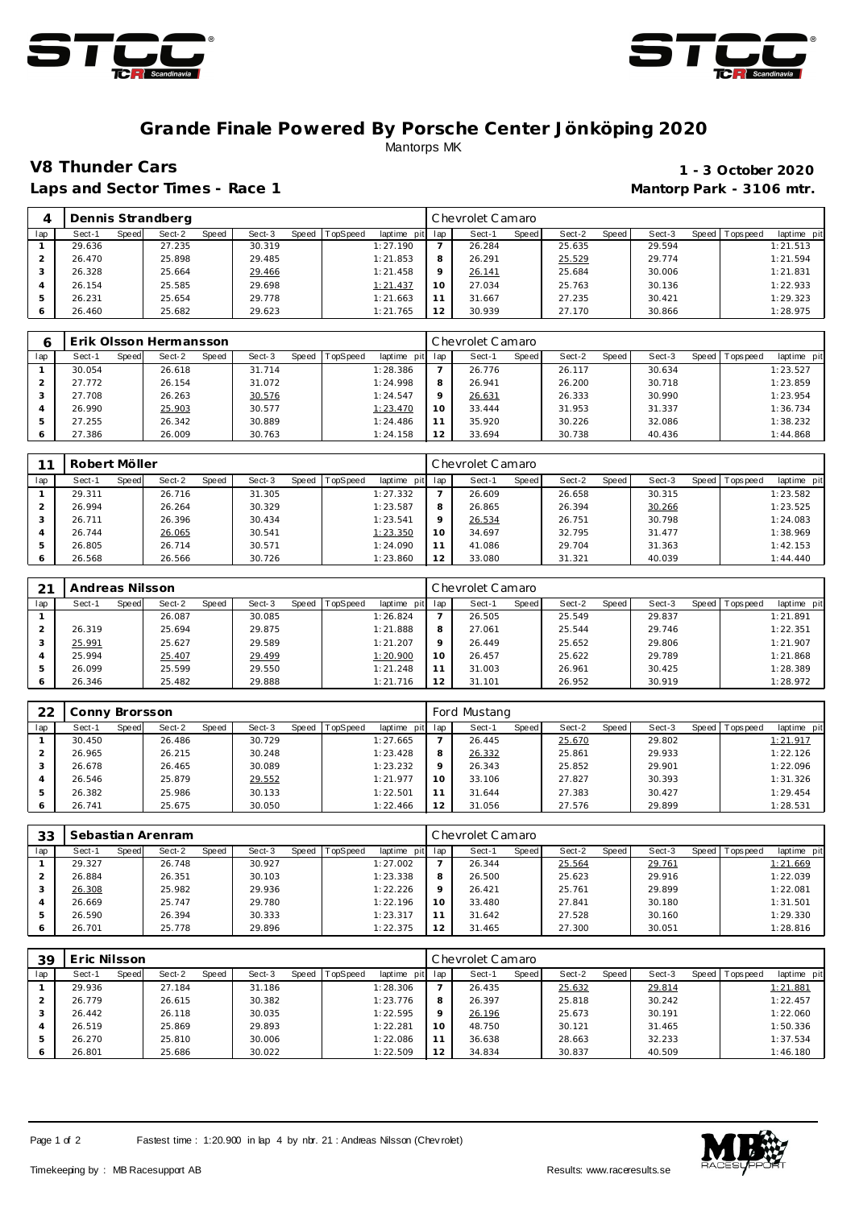



### **Grande Finale Powered By Porsche Center Jönköping 2020** Mantorps MK

Laps and Sector Times - Race 1 **Mantorp Park - 3106 mtr. Mantorp Park - 3106 mtr.** 

# **V8 Thunder Cars 1 - 3 October 2020**

|     | Dennis Strandberg |       |        |       |        |       |          |             | Chevrolet Camaro |        |       |        |       |        |       |            |             |
|-----|-------------------|-------|--------|-------|--------|-------|----------|-------------|------------------|--------|-------|--------|-------|--------|-------|------------|-------------|
| lap | Sect-1            | Speed | Sect-2 | Speed | Sect-3 | Speed | TopSpeed | laptime pit | lap              | Sect-′ | Speed | Sect-2 | Speed | Sect-3 | Speed | Tops pee d | laptime pit |
|     | 29.636            |       | 27.235 |       | 30.319 |       |          | 1:27.190    |                  | 26.284 |       | 25.635 |       | 29.594 |       |            | 1:21.513    |
|     | 26.470            |       | 25.898 |       | 29.485 |       |          | 1:21.853    | 8                | 26.291 |       | 25.529 |       | 29.774 |       |            | 1:21.594    |
|     | 26.328            |       | 25.664 |       | 29.466 |       |          | 1:21.458    | $\circ$          | 26.141 |       | 25.684 |       | 30.006 |       |            | 1:21.831    |
|     | 26.154            |       | 25.585 |       | 29.698 |       |          | 1:21.437    | 10               | 27.034 |       | 25.763 |       | 30.136 |       |            | 1:22.933    |
|     | 26.231            |       | 25.654 |       | 29.778 |       |          | 1:21.663    |                  | 31.667 |       | 27.235 |       | 30.421 |       |            | 1:29.323    |
|     | 26.460            |       | 25.682 |       | 29.623 |       |          | 1:21.765    | 12               | 30.939 |       | 27.170 |       | 30.866 |       |            | 1:28.975    |

|     | Erik Olsson Hermansson |       |        |       |        |       | Chevrolet Camaro |             |     |        |       |        |       |        |         |             |             |
|-----|------------------------|-------|--------|-------|--------|-------|------------------|-------------|-----|--------|-------|--------|-------|--------|---------|-------------|-------------|
| lap | Sect-1                 | Speed | Sect-2 | Speed | Sect-3 | Speed | <b>TopSpeed</b>  | laptime pit | lap | Sect-1 | Speed | Sect-2 | Speed | Sect-3 | Speed I | T ops pee d | laptime pit |
|     | 30.054                 |       | 26.618 |       | 31.714 |       |                  | 1:28.386    |     | 26.776 |       | 26.117 |       | 30.634 |         |             | 1:23.527    |
|     | 27.772                 |       | 26.154 |       | 31.072 |       |                  | 1:24.998    | 8   | 26.941 |       | 26.200 |       | 30.718 |         |             | 1:23.859    |
|     | 27.708                 |       | 26.263 |       | 30.576 |       |                  | 1:24.547    |     | 26.631 |       | 26.333 |       | 30.990 |         |             | 1:23.954    |
|     | 26.990                 |       | 25.903 |       | 30.577 |       |                  | 1:23.470    | 10  | 33.444 |       | 31.953 |       | 31.337 |         |             | 1:36.734    |
| 5   | 27.255                 |       | 26.342 |       | 30.889 |       |                  | 1:24.486    |     | 35.920 |       | 30.226 |       | 32.086 |         |             | 1:38.232    |
| 6   | 27.386                 |       | 26.009 |       | 30.763 |       |                  | 1:24.158    | 12  | 33.694 |       | 30.738 |       | 40.436 |         |             | 1:44.868    |

| $\sim$ | Robert Möller   |                 |                 |                         | Chevrolet Camaro |                       |                 |                 |                         |  |  |  |
|--------|-----------------|-----------------|-----------------|-------------------------|------------------|-----------------------|-----------------|-----------------|-------------------------|--|--|--|
| lap    | Speed<br>Sect-1 | Sect-2<br>Speed | Sect-3<br>Speed | TopSpeed<br>laptime pit | lap              | <b>Speed</b><br>Sect- | Sect-2<br>Speed | Sect-3<br>Speed | laptime pit<br>Topspeed |  |  |  |
|        | 29.311          | 26.716          | 31.305          | 1:27.332                |                  | 26.609                | 26.658          | 30.315          | 1:23.582                |  |  |  |
|        | 26.994          | 26.264          | 30.329          | 1:23.587                | 8                | 26.865                | 26.394          | 30.266          | 1:23.525                |  |  |  |
|        | 26.711          | 26.396          | 30.434          | 1:23.541                | $\circ$          | 26.534                | 26.751          | 30.798          | 1:24.083                |  |  |  |
|        | 26.744          | 26.065          | 30.541          | 1:23.350                | 10               | 34.697                | 32.795          | 31.477          | 1:38.969                |  |  |  |
|        | 26.805          | 26.714          | 30.571          | 1:24.090                |                  | 41.086                | 29.704          | 31.363          | 1:42.153                |  |  |  |
|        | 26.568          | 26.566          | 30.726          | 1:23.860                | 12               | 33.080                | 31.321          | 40.039          | 1:44.440                |  |  |  |

| 21  | Andreas Nilsson |       |        |       |        |       |          |             | Chevrolet Camaro |        |       |        |       |        |       |           |             |
|-----|-----------------|-------|--------|-------|--------|-------|----------|-------------|------------------|--------|-------|--------|-------|--------|-------|-----------|-------------|
| lap | Sect-1          | Speed | Sect-2 | Speed | Sect-3 | Speed | TopSpeed | laptime pit | lap              | Sect-1 | Speed | Sect-2 | Speed | Sect-3 | Speed | Tops peed | laptime pit |
|     |                 |       | 26.087 |       | 30.085 |       |          | 1:26.824    |                  | 26.505 |       | 25.549 |       | 29.837 |       |           | 1:21.891    |
|     | 26.319          |       | 25.694 |       | 29.875 |       |          | 1:21.888    | 8                | 27.061 |       | 25.544 |       | 29.746 |       |           | 1:22.351    |
| 3   | 25.991          |       | 25.627 |       | 29.589 |       |          | 1:21.207    | $\circ$          | 26.449 |       | 25.652 |       | 29.806 |       |           | 1:21.907    |
|     | 25.994          |       | 25.407 |       | 29.499 |       |          | 1:20.900    | 10               | 26.457 |       | 25.622 |       | 29.789 |       |           | 1:21.868    |
| b.  | 26.099          |       | 25.599 |       | 29.550 |       |          | 1:21.248    |                  | 31.003 |       | 26.961 |       | 30.425 |       |           | 1:28.389    |
|     | 26.346          |       | 25.482 |       | 29.888 |       |          | 1:21.716    | $\sim$           | 31.101 |       | 26.952 |       | 30.919 |       |           | 1:28.972    |

| 22  | Conny Brorsson |       |        |       |        |  |                |             | Ford Mustang |        |       |        |       |        |         |             |             |
|-----|----------------|-------|--------|-------|--------|--|----------------|-------------|--------------|--------|-------|--------|-------|--------|---------|-------------|-------------|
| lap | Sect-1         | Speed | Sect-2 | Speed | Sect-3 |  | Speed TopSpeed | laptime pit | lap          | Sect-1 | Speed | Sect-2 | Speed | Sect-3 | Speed I | T ops pee d | laptime pit |
|     | 30.450         |       | 26.486 |       | 30.729 |  |                | 1:27.665    |              | 26.445 |       | 25.670 |       | 29.802 |         |             | 1:21.917    |
|     | 26.965         |       | 26.215 |       | 30.248 |  |                | 1:23.428    | 8            | 26.332 |       | 25.861 |       | 29.933 |         |             | 1:22.126    |
|     | 26.678         |       | 26.465 |       | 30.089 |  |                | 1:23.232    | $\circ$      | 26.343 |       | 25.852 |       | 29.901 |         |             | 1:22.096    |
|     | 26.546         |       | 25.879 |       | 29.552 |  |                | 1:21.977    | 10           | 33.106 |       | 27.827 |       | 30.393 |         |             | 1:31.326    |
|     | 26.382         |       | 25.986 |       | 30.133 |  |                | 1:22.501    | 11           | 31.644 |       | 27.383 |       | 30.427 |         |             | 1:29.454    |
|     | 26.741         |       | 25.675 |       | 30.050 |  |                | 1:22.466    | 12           | 31.056 |       | 27.576 |       | 29.899 |         |             | 1:28.531    |

| 33  | Sebastian Arenram |       |        |       |        |  |                |             | Chevrolet Camaro |        |       |        |       |        |  |                 |             |
|-----|-------------------|-------|--------|-------|--------|--|----------------|-------------|------------------|--------|-------|--------|-------|--------|--|-----------------|-------------|
| lap | Sect-1            | Speed | Sect-2 | Speed | Sect-3 |  | Speed TopSpeed | laptime pit | lap              | Sect-1 | Speed | Sect-2 | Speed | Sect-3 |  | Speed Tops peed | laptime pit |
|     | 29.327            |       | 26.748 |       | 30.927 |  |                | 1:27.002    |                  | 26.344 |       | 25.564 |       | 29.761 |  |                 | 1:21.669    |
|     | 26.884            |       | 26.351 |       | 30.103 |  |                | 1:23.338    | 8                | 26.500 |       | 25.623 |       | 29.916 |  |                 | 1:22.039    |
|     | 26.308            |       | 25.982 |       | 29.936 |  |                | 1:22.226    | $\circ$          | 26.421 |       | 25.761 |       | 29.899 |  |                 | 1:22.081    |
|     | 26.669            |       | 25.747 |       | 29.780 |  |                | 1:22.196    | 10               | 33.480 |       | 27.841 |       | 30.180 |  |                 | 1:31.501    |
| 5   | 26.590            |       | 26.394 |       | 30.333 |  |                | 1:23.317    | 11               | 31.642 |       | 27.528 |       | 30.160 |  |                 | 1:29.330    |
|     | 26.701            |       | 25.778 |       | 29.896 |  |                | 1:22.375    | 12               | 31.465 |       | 27.300 |       | 30.051 |  |                 | 1:28.816    |

| 39  | Eric Nilsson    |                 |                 |                         | Chevrolet Camaro |                 |                 |                 |                          |  |  |  |
|-----|-----------------|-----------------|-----------------|-------------------------|------------------|-----------------|-----------------|-----------------|--------------------------|--|--|--|
| lap | Sect-1<br>Speed | Sect-2<br>Speed | Sect-3<br>Speed | TopSpeed<br>laptime pit | lap              | Speed<br>Sect-1 | Sect-2<br>Speed | Sect-3<br>Speed | Tops peed<br>laptime pit |  |  |  |
|     | 29.936          | 27.184          | 31.186          | 1:28.306                |                  | 26.435          | 25.632          | 29.814          | 1:21.881                 |  |  |  |
|     | 26.779          | 26.615          | 30.382          | 1:23.776                | 8                | 26.397          | 25.818          | 30.242          | 1:22.457                 |  |  |  |
|     | 26.442          | 26.118          | 30.035          | 1:22.595                | $\circ$          | 26.196          | 25.673          | 30.191          | 1:22.060                 |  |  |  |
| 4   | 26.519          | 25.869          | 29.893          | 1:22.281                | 10               | 48.750          | 30.121          | 31.465          | 1:50.336                 |  |  |  |
| 5   | 26.270          | 25.810          | 30.006          | 1:22.086                | 11               | 36.638          | 28.663          | 32.233          | 1:37.534                 |  |  |  |
|     | 26.801          | 25.686          | 30.022          | 1:22.509                | 12               | 34.834          | 30.837          | 40.509          | 1:46.180                 |  |  |  |